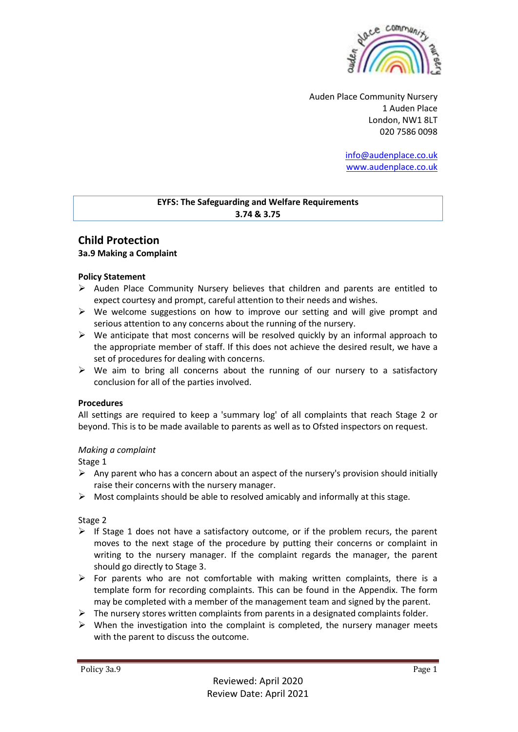

Auden Place Community Nursery 1 Auden Place London, NW1 8LT 020 7586 0098

> [info@audenplace.co.uk](mailto:info@audenplace.co.uk) [www.audenplace.co.uk](http://www.audenplace.co.uk/)

## **EYFS: The Safeguarding and Welfare Requirements 3.74 & 3.75**

# **Child Protection 3a.9 Making a Complaint**

### **Policy Statement**

- $\triangleright$  Auden Place Community Nursery believes that children and parents are entitled to expect courtesy and prompt, careful attention to their needs and wishes.
- $\triangleright$  We welcome suggestions on how to improve our setting and will give prompt and serious attention to any concerns about the running of the nursery.
- $\triangleright$  We anticipate that most concerns will be resolved quickly by an informal approach to the appropriate member of staff. If this does not achieve the desired result, we have a set of procedures for dealing with concerns.
- $\triangleright$  We aim to bring all concerns about the running of our nursery to a satisfactory conclusion for all of the parties involved.

#### **Procedures**

All settings are required to keep a 'summary log' of all complaints that reach Stage 2 or beyond. This is to be made available to parents as well as to Ofsted inspectors on request.

#### *Making a complaint*

Stage 1

- $\triangleright$  Any parent who has a concern about an aspect of the nursery's provision should initially raise their concerns with the nursery manager.
- $\triangleright$  Most complaints should be able to resolved amicably and informally at this stage.

#### Stage 2

- $\triangleright$  If Stage 1 does not have a satisfactory outcome, or if the problem recurs, the parent moves to the next stage of the procedure by putting their concerns or complaint in writing to the nursery manager. If the complaint regards the manager, the parent should go directly to Stage 3.
- $\triangleright$  For parents who are not comfortable with making written complaints, there is a template form for recording complaints. This can be found in the Appendix. The form may be completed with a member of the management team and signed by the parent.
- $\triangleright$  The nursery stores written complaints from parents in a designated complaints folder.
- $\triangleright$  When the investigation into the complaint is completed, the nursery manager meets with the parent to discuss the outcome.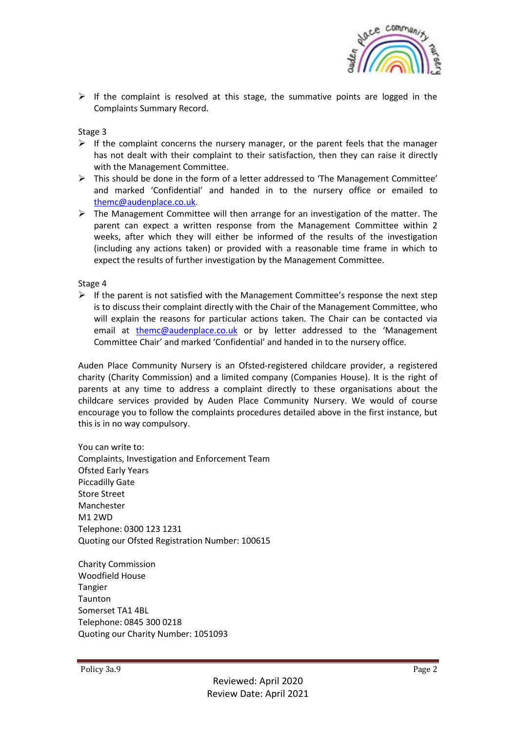

 $\triangleright$  If the complaint is resolved at this stage, the summative points are logged in the Complaints Summary Record.

Stage 3

- $\triangleright$  If the complaint concerns the nursery manager, or the parent feels that the manager has not dealt with their complaint to their satisfaction, then they can raise it directly with the Management Committee.
- ➢ This should be done in the form of a letter addressed to 'The Management Committee' and marked 'Confidential' and handed in to the nursery office or emailed to [themc@audenplace.co.uk.](mailto:themc@audenplace.co.uk)
- $\triangleright$  The Management Committee will then arrange for an investigation of the matter. The parent can expect a written response from the Management Committee within 2 weeks, after which they will either be informed of the results of the investigation (including any actions taken) or provided with a reasonable time frame in which to expect the results of further investigation by the Management Committee.

Stage 4

 $\triangleright$  If the parent is not satisfied with the Management Committee's response the next step is to discuss their complaint directly with the Chair of the Management Committee, who will explain the reasons for particular actions taken. The Chair can be contacted via email at [themc@audenplace.co.uk](mailto:themc@audenplace.co.uk) or by letter addressed to the 'Management Committee Chair' and marked 'Confidential' and handed in to the nursery office.

Auden Place Community Nursery is an Ofsted-registered childcare provider, a registered charity (Charity Commission) and a limited company (Companies House). It is the right of parents at any time to address a complaint directly to these organisations about the childcare services provided by Auden Place Community Nursery. We would of course encourage you to follow the complaints procedures detailed above in the first instance, but this is in no way compulsory.

You can write to: Complaints, Investigation and Enforcement Team Ofsted Early Years Piccadilly Gate Store Street Manchester M1 2WD Telephone: 0300 123 1231 Quoting our Ofsted Registration Number: 100615

Charity Commission Woodfield House Tangier Taunton Somerset TA1 4BL Telephone: 0845 300 0218 Quoting our Charity Number: 1051093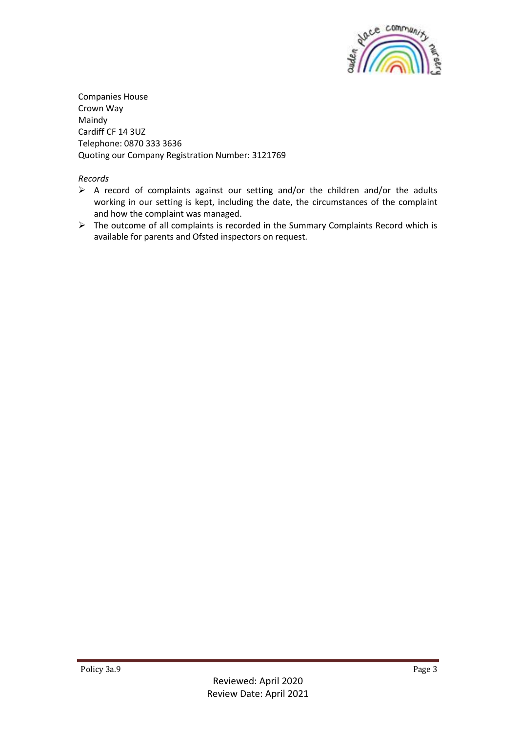

Companies House Crown Way Maindy Cardiff CF 14 3UZ Telephone: 0870 333 3636 Quoting our Company Registration Number: 3121769

*Records*

- ➢ A record of complaints against our setting and/or the children and/or the adults working in our setting is kept, including the date, the circumstances of the complaint and how the complaint was managed.
- ➢ The outcome of all complaints is recorded in the Summary Complaints Record which is available for parents and Ofsted inspectors on request.